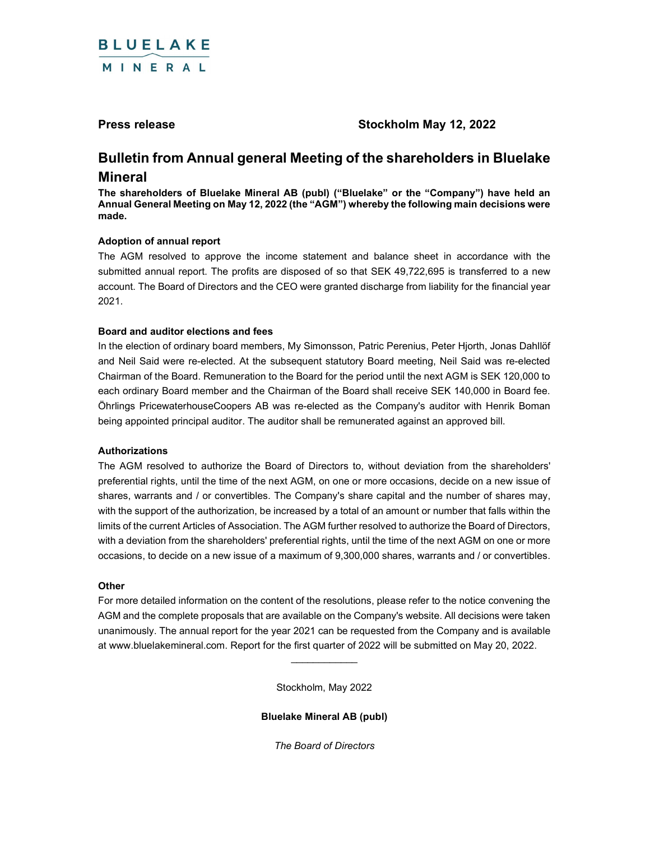

# Press release Stockholm May 12, 2022

# Bulletin from Annual general Meeting of the shareholders in Bluelake Mineral

The shareholders of Bluelake Mineral AB (publ) ("Bluelake" or the "Company") have held an Annual General Meeting on May 12, 2022 (the "AGM") whereby the following main decisions were made.

# Adoption of annual report

The AGM resolved to approve the income statement and balance sheet in accordance with the submitted annual report. The profits are disposed of so that SEK 49,722,695 is transferred to a new account. The Board of Directors and the CEO were granted discharge from liability for the financial year 2021.

# Board and auditor elections and fees

In the election of ordinary board members, My Simonsson, Patric Perenius, Peter Hjorth, Jonas Dahllöf and Neil Said were re-elected. At the subsequent statutory Board meeting, Neil Said was re-elected Chairman of the Board. Remuneration to the Board for the period until the next AGM is SEK 120,000 to each ordinary Board member and the Chairman of the Board shall receive SEK 140,000 in Board fee. Öhrlings PricewaterhouseCoopers AB was re-elected as the Company's auditor with Henrik Boman being appointed principal auditor. The auditor shall be remunerated against an approved bill.

### Authorizations

The AGM resolved to authorize the Board of Directors to, without deviation from the shareholders' preferential rights, until the time of the next AGM, on one or more occasions, decide on a new issue of shares, warrants and / or convertibles. The Company's share capital and the number of shares may, with the support of the authorization, be increased by a total of an amount or number that falls within the limits of the current Articles of Association. The AGM further resolved to authorize the Board of Directors, with a deviation from the shareholders' preferential rights, until the time of the next AGM on one or more occasions, to decide on a new issue of a maximum of 9,300,000 shares, warrants and / or convertibles.

### **Other**

For more detailed information on the content of the resolutions, please refer to the notice convening the AGM and the complete proposals that are available on the Company's website. All decisions were taken unanimously. The annual report for the year 2021 can be requested from the Company and is available at www.bluelakemineral.com. Report for the first quarter of 2022 will be submitted on May 20, 2022.

Stockholm, May 2022

 $\overline{\phantom{a}}$ 

Bluelake Mineral AB (publ)

The Board of Directors